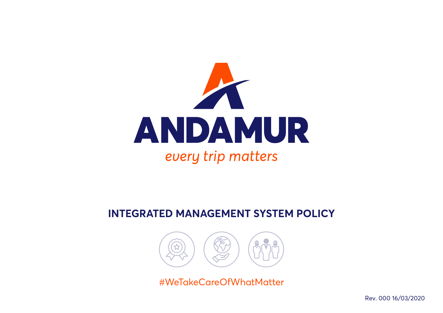

## **INTEGRATED MANAGEMENT SYSTEM POLICY**



#WeTakeCareOfWhatMatter

Rev. 000 16/03/2020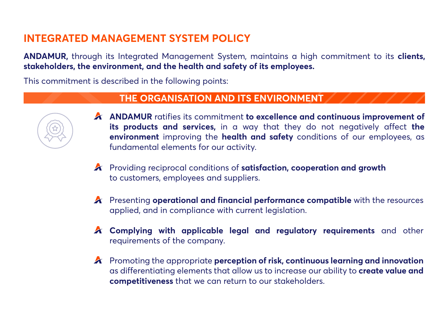# **INTEGRATED MANAGEMENT SYSTEM POLICY**

**ANDAMUR,** through its Integrated Management System, maintains a high commitment to its **clients, stakeholders, the environment, and the health and safety of its employees.**

This commitment is described in the following points:

#### **THE ORGANISATION AND ITS ENVIRONMENT**



- **ANDAMUR** ratifies its commitment **to excellence and continuous improvement of its products and services,** in a way that they do not negatively affect **the environment** improving the **health and safety** conditions of our employees, as fundamental elements for our activity.
- Providing reciprocal conditions of **satisfaction, cooperation and growth** to customers, employees and suppliers.
- Presenting **operational and financial performance compatible** with the resources applied, and in compliance with current legislation.
- **Complying with applicable legal and regulatory requirements** and other requirements of the company.
- Promoting the appropriate **perception of risk, continuous learning and innovation**  as differentiating elements that allow us to increase our ability to **create value and competitiveness** that we can return to our stakeholders.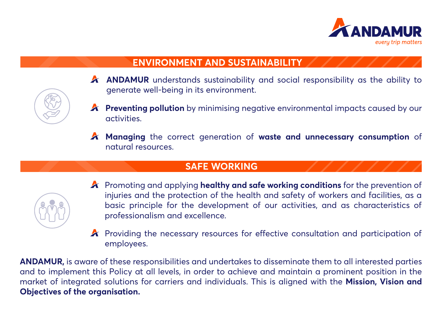

### **ENVIRONMENT AND SUSTAINABILITY**

- **A** ANDAMUR understands sustainability and social responsibility as the ability to generate well-being in its environment.
- **A** Preventing pollution by minimising negative environmental impacts caused by our activities.
- **Managing** the correct generation of **waste and unnecessary consumption** of natural resources.

#### **SAFE WORKING**



- Promoting and applying **healthy and safe working conditions** for the prevention of injuries and the protection of the health and safety of workers and facilities, as a basic principle for the development of our activities, and as characteristics of professionalism and excellence.
- **A** Providing the necessary resources for effective consultation and participation of employees.

**ANDAMUR,** is aware of these responsibilities and undertakes to disseminate them to all interested parties and to implement this Policy at all levels, in order to achieve and maintain a prominent position in the market of integrated solutions for carriers and individuals. This is aligned with the **Mission, Vision and Objectives of the organisation.**